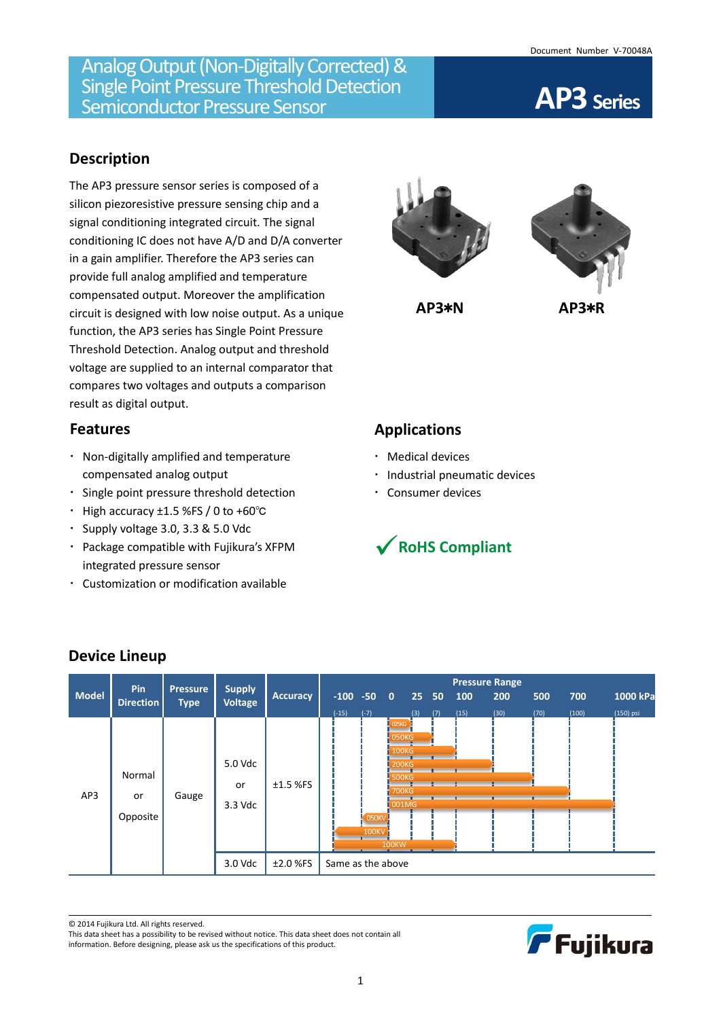## **Description**

The AP3 pressure sensor series is composed of a silicon piezoresistive pressure sensing chip and a signal conditioning integrated circuit. The signal conditioning IC does not have A/D and D/A converter in a gain amplifier. Therefore the AP3 series can provide full analog amplified and temperature compensated output. Moreover the amplification circuit is designed with low noise output. As a unique function, the AP3 series has Single Point Pressure Threshold Detection. Analog output and threshold voltage are supplied to an internal comparator that compares two voltages and outputs a comparison result as digital output.

### **Features**

- Non-digitally amplified and temperature compensated analog output
- Single point pressure threshold detection
- High accuracy ±1.5 %FS / 0 to +60℃
- Supply voltage 3.0, 3.3 & 5.0 Vdc
- Package compatible with Fujikura's XFPM integrated pressure sensor
- Customization or modification available





**AP3**\***N AP3**\***R**

# **Applications**

- Medical devices
- · Industrial pneumatic devices
- Consumer devices



| <b>Model</b> | Pin<br><b>Direction</b>  | <b>Pressure</b><br><b>Type</b> | <b>Supply</b><br><b>Voltage</b>     | <b>Accuracy</b>          | $-100 -500$<br>$(-15)$ | $(-7)$                       |                                                                                                         | 25 <sub>1</sub><br>(3) | 50<br>(7) | 100<br>(15) | <b>Pressure Range</b><br>200<br>(30) | 500<br>(70) | 700<br>(100) | 1000 kPa<br>(150) psi |
|--------------|--------------------------|--------------------------------|-------------------------------------|--------------------------|------------------------|------------------------------|---------------------------------------------------------------------------------------------------------|------------------------|-----------|-------------|--------------------------------------|-------------|--------------|-----------------------|
| AP3          | Normal<br>or<br>Opposite | Gauge                          | 5.0 Vdc<br>or<br>3.3 Vdc<br>3.0 Vdc | $±1.5$ %FS<br>$±2.0$ %FS | Same as the above      | <b>050KV</b><br><b>100KV</b> | 025KG<br>050KG<br><b>100KG</b><br><b>200KG</b><br><b>500KG</b><br><b>700KG</b><br>001MG<br><b>100KW</b> |                        |           |             |                                      |             |              |                       |

## **Device Lineup**

© 2014 Fujikura Ltd. All rights reserved.

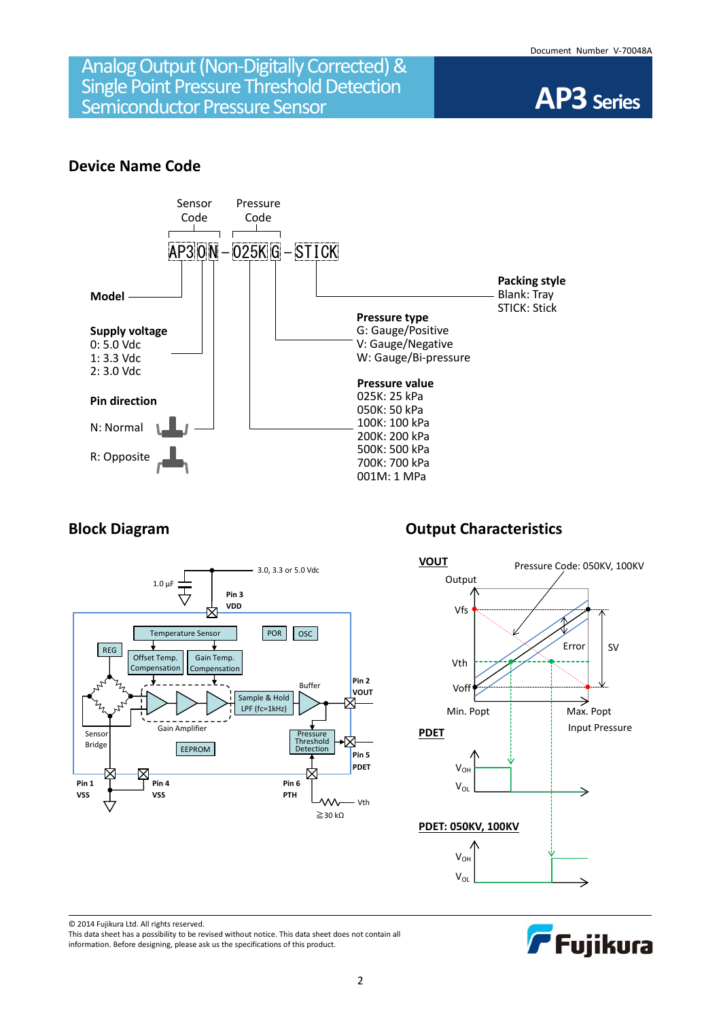

### **Device Name Code**





# **Block Diagram Diagram Output Characteristics**





© 2014 Fujikura Ltd. All rights reserved.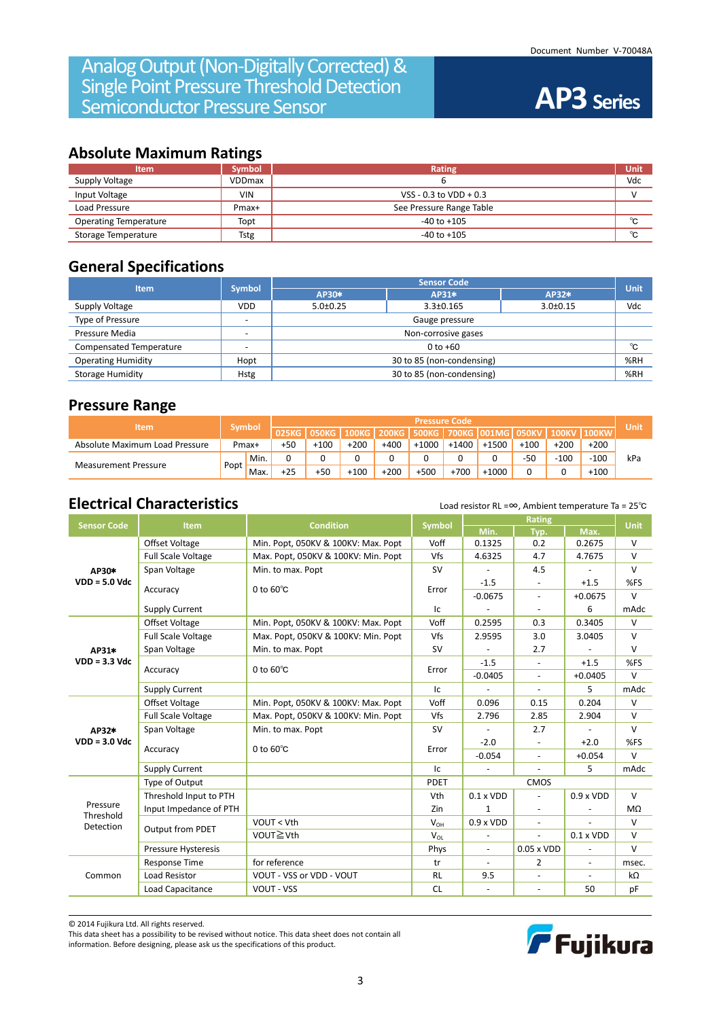### **Absolute Maximum Ratings**

| <b>Item</b>                  | <b>Symbol</b> | Rating                     | Unit |
|------------------------------|---------------|----------------------------|------|
| Supply Voltage               | <b>VDDmax</b> |                            | Vdc  |
| Input Voltage                | <b>VIN</b>    | VSS - $0.3$ to VDD + $0.3$ |      |
| Load Pressure                | Pmax+         | See Pressure Range Table   |      |
| <b>Operating Temperature</b> | Topt          | $-40$ to $+105$            | °C   |
| Storage Temperature          | <b>Tstg</b>   | $-40$ to $+105$            | °C   |

## **General Specifications**

| <b>Item</b>               | <b>Symbol</b> | <b>Sensor Code</b>                              |       |       |     |  |  |
|---------------------------|---------------|-------------------------------------------------|-------|-------|-----|--|--|
|                           |               | AP30*                                           | AP31* | AP32* |     |  |  |
| Supply Voltage            | <b>VDD</b>    | $3.0 \pm 0.15$<br>$3.3 \pm 0.165$<br>$5.0+0.25$ |       |       | Vdc |  |  |
| Type of Pressure          |               | Gauge pressure                                  |       |       |     |  |  |
| Pressure Media            |               | Non-corrosive gases                             |       |       |     |  |  |
| Compensated Temperature   |               | $0$ to $+60$                                    |       |       |     |  |  |
| <b>Operating Humidity</b> | Hopt          | 30 to 85 (non-condensing)                       |       |       |     |  |  |
| Storage Humidity          | <b>Hstg</b>   | 30 to 85 (non-condensing)                       |       |       |     |  |  |

### **Pressure Range**

| <b>Item</b>                    |        |         | <b>Pressure Code</b> |        |              |              |         |         |                               |        | Unit         |              |     |
|--------------------------------|--------|---------|----------------------|--------|--------------|--------------|---------|---------|-------------------------------|--------|--------------|--------------|-----|
|                                |        | 'Symbol | 025KG                | 050KG  | <b>100KG</b> | <b>200KG</b> |         |         | 500KG   700KG   001MG   050KV |        | <b>100KV</b> | <b>100KW</b> |     |
| Absolute Maximum Load Pressure | Pmax+  |         | $+50$                | $+100$ | $+200$       | $+400$       | $+1000$ | $+1400$ | $+150$                        | $+100$ | $+200$       | $+200$       |     |
|                                |        | ' Min.  | 0                    |        |              |              |         | u       |                               | $-50$  | $-100$       | $-100$       | kPa |
| <b>Measurement Pressure</b>    | 'Popt, | Max.    | $+25$                | $+50$  | $+100$       | $+200$       | $+500$  | $+700$  | $+1000$                       |        |              | $+100$       |     |

# **Electrical Characteristics** Load resistor RL =∞, Ambient temperature Ta = 25<sup>°</sup>C

| <b>Sensor Code</b>                                                                                                                                                                                      | Item                      | <b>Condition</b>                    | Symbol      |                          | <b>Unit</b>                                                                                                                                                                                                                                                                                                                                                                                                                                                                                                                                                    |                                                                                                                             |        |
|---------------------------------------------------------------------------------------------------------------------------------------------------------------------------------------------------------|---------------------------|-------------------------------------|-------------|--------------------------|----------------------------------------------------------------------------------------------------------------------------------------------------------------------------------------------------------------------------------------------------------------------------------------------------------------------------------------------------------------------------------------------------------------------------------------------------------------------------------------------------------------------------------------------------------------|-----------------------------------------------------------------------------------------------------------------------------|--------|
|                                                                                                                                                                                                         |                           |                                     |             | Min.                     | Typ.                                                                                                                                                                                                                                                                                                                                                                                                                                                                                                                                                           | Max.                                                                                                                        |        |
|                                                                                                                                                                                                         | Offset Voltage            | Min. Popt, 050KV & 100KV: Max. Popt | Voff        | 0.1325                   | 0.2                                                                                                                                                                                                                                                                                                                                                                                                                                                                                                                                                            | 0.2675                                                                                                                      |        |
|                                                                                                                                                                                                         | <b>Full Scale Voltage</b> | Max. Popt, 050KV & 100KV: Min. Popt | Vfs         | 4.6325                   | <b>Rating</b><br>4.7<br>4.7675<br>4.5<br>$+1.5$<br>$+0.0675$<br>$\blacksquare$<br>6<br>$\blacksquare$<br>0.3405<br>0.3<br>3.0<br>3.0405<br>2.7<br>$+1.5$<br>$+0.0405$<br>$\blacksquare$<br>5<br>$\blacksquare$<br>0.204<br>0.15<br>2.904<br>2.85<br>2.7<br>$+2.0$<br>$\overline{\phantom{a}}$<br>$+0.054$<br>$\blacksquare$<br>5<br>$\bar{a}$<br>CMOS<br>$0.9 \times VDD$<br>$\bar{a}$<br>$\overline{\phantom{a}}$<br>$\blacksquare$<br>$0.1 \times VDD$<br>$\blacksquare$<br>$0.05 \times VDD$<br>L,<br>2<br>$\overline{\phantom{a}}$<br>50<br>$\blacksquare$ | V                                                                                                                           |        |
| AP30*                                                                                                                                                                                                   | Span Voltage              | Min. to max. Popt                   | <b>SV</b>   |                          |                                                                                                                                                                                                                                                                                                                                                                                                                                                                                                                                                                |                                                                                                                             | $\vee$ |
| $VDD = 5.0$ Vdc                                                                                                                                                                                         |                           | 0 to $60^{\circ}$ C                 | Error       | $-1.5$                   |                                                                                                                                                                                                                                                                                                                                                                                                                                                                                                                                                                |                                                                                                                             | %FS    |
|                                                                                                                                                                                                         | Accuracy                  |                                     |             | $-0.0675$                |                                                                                                                                                                                                                                                                                                                                                                                                                                                                                                                                                                |                                                                                                                             | $\vee$ |
|                                                                                                                                                                                                         | <b>Supply Current</b>     |                                     | Ic          | $\overline{\phantom{a}}$ |                                                                                                                                                                                                                                                                                                                                                                                                                                                                                                                                                                |                                                                                                                             | mAdc   |
|                                                                                                                                                                                                         | Offset Voltage            | Min. Popt, 050KV & 100KV: Max. Popt | Voff        | 0.2595                   |                                                                                                                                                                                                                                                                                                                                                                                                                                                                                                                                                                |                                                                                                                             | $\vee$ |
|                                                                                                                                                                                                         | <b>Full Scale Voltage</b> | Max. Popt, 050KV & 100KV: Min. Popt | Vfs         | 2.9595                   |                                                                                                                                                                                                                                                                                                                                                                                                                                                                                                                                                                |                                                                                                                             | $\vee$ |
| AP31*                                                                                                                                                                                                   | Span Voltage              | Min. to max. Popt                   | <b>SV</b>   |                          |                                                                                                                                                                                                                                                                                                                                                                                                                                                                                                                                                                |                                                                                                                             | v      |
| $VDD = 3.3$ Vdc                                                                                                                                                                                         |                           | 0 to $60^{\circ}$ C                 |             | $-1.5$                   |                                                                                                                                                                                                                                                                                                                                                                                                                                                                                                                                                                |                                                                                                                             | %FS    |
|                                                                                                                                                                                                         | Accuracy                  |                                     | Error       | $-0.0405$                |                                                                                                                                                                                                                                                                                                                                                                                                                                                                                                                                                                |                                                                                                                             | V      |
|                                                                                                                                                                                                         | <b>Supply Current</b>     |                                     | Ic          | $\overline{a}$           |                                                                                                                                                                                                                                                                                                                                                                                                                                                                                                                                                                | $\vee$<br>mAdc<br>$\vee$<br>v<br>$\vee$<br>%FS<br>V<br>mAdc<br>$\vee$<br>MΩ<br>$\vee$<br>v<br>v<br>msec.<br>$k\Omega$<br>pF |        |
|                                                                                                                                                                                                         | Offset Voltage            | Min. Popt, 050KV & 100KV: Max. Popt | Voff        | 0.096                    |                                                                                                                                                                                                                                                                                                                                                                                                                                                                                                                                                                |                                                                                                                             |        |
|                                                                                                                                                                                                         | <b>Full Scale Voltage</b> | Max. Popt, 050KV & 100KV: Min. Popt | Vfs         | 2.796                    |                                                                                                                                                                                                                                                                                                                                                                                                                                                                                                                                                                |                                                                                                                             |        |
| AP32*                                                                                                                                                                                                   | Span Voltage              | Min. to max. Popt                   | <b>SV</b>   |                          |                                                                                                                                                                                                                                                                                                                                                                                                                                                                                                                                                                |                                                                                                                             |        |
| $VDD = 3.0$ Vdc                                                                                                                                                                                         |                           |                                     |             | $-2.0$                   |                                                                                                                                                                                                                                                                                                                                                                                                                                                                                                                                                                |                                                                                                                             |        |
|                                                                                                                                                                                                         |                           |                                     | Error       | $-0.054$                 |                                                                                                                                                                                                                                                                                                                                                                                                                                                                                                                                                                |                                                                                                                             |        |
|                                                                                                                                                                                                         | <b>Supply Current</b>     |                                     | Ic          | $\bar{a}$                |                                                                                                                                                                                                                                                                                                                                                                                                                                                                                                                                                                |                                                                                                                             |        |
|                                                                                                                                                                                                         | Type of Output            |                                     | <b>PDET</b> |                          |                                                                                                                                                                                                                                                                                                                                                                                                                                                                                                                                                                |                                                                                                                             |        |
|                                                                                                                                                                                                         | Threshold Input to PTH    |                                     | Vth         | $0.1 \times VDD$         |                                                                                                                                                                                                                                                                                                                                                                                                                                                                                                                                                                |                                                                                                                             |        |
|                                                                                                                                                                                                         | Input Impedance of PTH    |                                     | Zin         | 1                        |                                                                                                                                                                                                                                                                                                                                                                                                                                                                                                                                                                |                                                                                                                             |        |
|                                                                                                                                                                                                         |                           | VOUT < Vth                          | $V_{OH}$    | $0.9 \times VDD$         |                                                                                                                                                                                                                                                                                                                                                                                                                                                                                                                                                                |                                                                                                                             |        |
|                                                                                                                                                                                                         |                           | VOUT≧Vth                            | $V_{OL}$    |                          |                                                                                                                                                                                                                                                                                                                                                                                                                                                                                                                                                                |                                                                                                                             |        |
|                                                                                                                                                                                                         | Pressure Hysteresis       |                                     | Phys        | $\blacksquare$           |                                                                                                                                                                                                                                                                                                                                                                                                                                                                                                                                                                |                                                                                                                             |        |
| 0 to $60^{\circ}$ C<br>Accuracy<br>Pressure<br>Threshold<br><b>Detection</b><br><b>Output from PDET</b><br>for reference<br><b>Response Time</b><br>VOUT - VSS or VDD - VOUT<br>Common<br>Load Resistor |                           | tr                                  | $\sim$      |                          |                                                                                                                                                                                                                                                                                                                                                                                                                                                                                                                                                                |                                                                                                                             |        |
|                                                                                                                                                                                                         |                           |                                     | <b>RL</b>   | 9.5                      |                                                                                                                                                                                                                                                                                                                                                                                                                                                                                                                                                                |                                                                                                                             |        |
|                                                                                                                                                                                                         | Load Capacitance          | <b>VOUT - VSS</b>                   | <b>CL</b>   | $\overline{\phantom{a}}$ |                                                                                                                                                                                                                                                                                                                                                                                                                                                                                                                                                                |                                                                                                                             |        |

© 2014 Fujikura Ltd. All rights reserved.